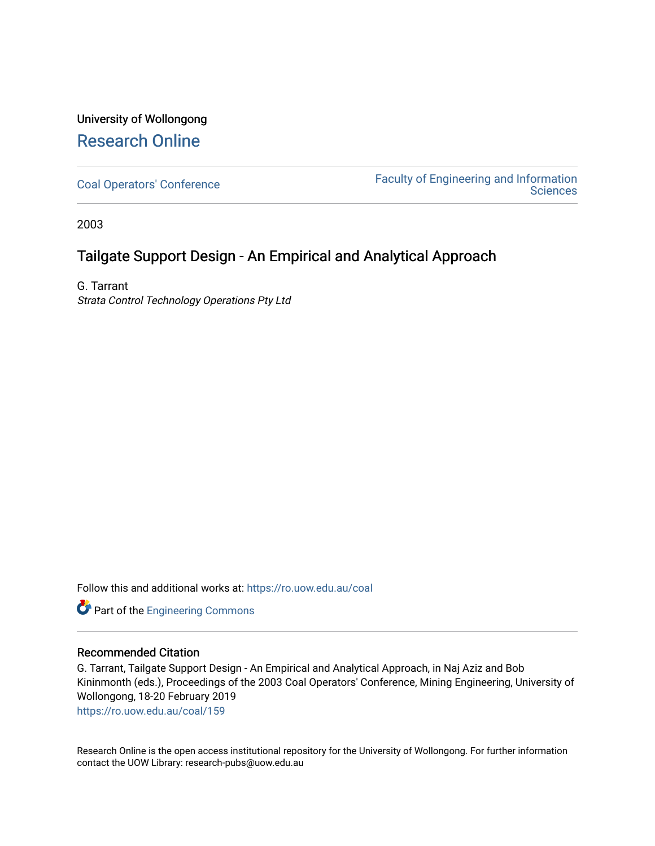# University of Wollongong [Research Online](https://ro.uow.edu.au/)

[Coal Operators' Conference](https://ro.uow.edu.au/coal) [Faculty of Engineering and Information](https://ro.uow.edu.au/eis)  **Sciences** 

2003

# Tailgate Support Design - An Empirical and Analytical Approach

G. Tarrant Strata Control Technology Operations Pty Ltd

Follow this and additional works at: [https://ro.uow.edu.au/coal](https://ro.uow.edu.au/coal?utm_source=ro.uow.edu.au%2Fcoal%2F159&utm_medium=PDF&utm_campaign=PDFCoverPages) 

Part of the [Engineering Commons](http://network.bepress.com/hgg/discipline/217?utm_source=ro.uow.edu.au%2Fcoal%2F159&utm_medium=PDF&utm_campaign=PDFCoverPages)

# Recommended Citation

G. Tarrant, Tailgate Support Design - An Empirical and Analytical Approach, in Naj Aziz and Bob Kininmonth (eds.), Proceedings of the 2003 Coal Operators' Conference, Mining Engineering, University of Wollongong, 18-20 February 2019

[https://ro.uow.edu.au/coal/159](https://ro.uow.edu.au/coal/159?utm_source=ro.uow.edu.au%2Fcoal%2F159&utm_medium=PDF&utm_campaign=PDFCoverPages) 

Research Online is the open access institutional repository for the University of Wollongong. For further information contact the UOW Library: research-pubs@uow.edu.au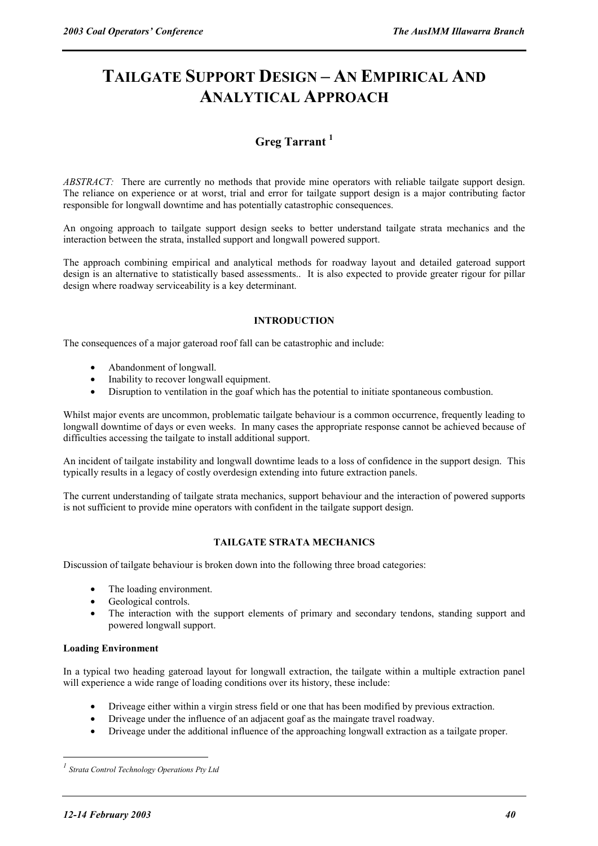# **TAILGATE SUPPORT DESIGN – AN EMPIRICAL AND ANALYTICAL APPROACH**

# **Greg Tarrant <sup>1</sup>**

*ABSTRACT:* There are currently no methods that provide mine operators with reliable tailgate support design. The reliance on experience or at worst, trial and error for tailgate support design is a major contributing factor responsible for longwall downtime and has potentially catastrophic consequences.

An ongoing approach to tailgate support design seeks to better understand tailgate strata mechanics and the interaction between the strata, installed support and longwall powered support.

The approach combining empirical and analytical methods for roadway layout and detailed gateroad support design is an alternative to statistically based assessments.. It is also expected to provide greater rigour for pillar design where roadway serviceability is a key determinant.

# **INTRODUCTION**

The consequences of a major gateroad roof fall can be catastrophic and include:

- Abandonment of longwall.
- Inability to recover longwall equipment.
- Disruption to ventilation in the goaf which has the potential to initiate spontaneous combustion.

Whilst major events are uncommon, problematic tailgate behaviour is a common occurrence, frequently leading to longwall downtime of days or even weeks. In many cases the appropriate response cannot be achieved because of difficulties accessing the tailgate to install additional support.

An incident of tailgate instability and longwall downtime leads to a loss of confidence in the support design. This typically results in a legacy of costly overdesign extending into future extraction panels.

The current understanding of tailgate strata mechanics, support behaviour and the interaction of powered supports is not sufficient to provide mine operators with confident in the tailgate support design.

# **TAILGATE STRATA MECHANICS**

Discussion of tailgate behaviour is broken down into the following three broad categories:

- The loading environment.
- Geological controls.
- The interaction with the support elements of primary and secondary tendons, standing support and powered longwall support.

#### **Loading Environment**

In a typical two heading gateroad layout for longwall extraction, the tailgate within a multiple extraction panel will experience a wide range of loading conditions over its history, these include:

- Driveage either within a virgin stress field or one that has been modified by previous extraction.
- Driveage under the influence of an adjacent goaf as the maingate travel roadway.
- Driveage under the additional influence of the approaching longwall extraction as a tailgate proper.

 $\overline{a}$ 

*<sup>1</sup> Strata Control Technology Operations Pty Ltd*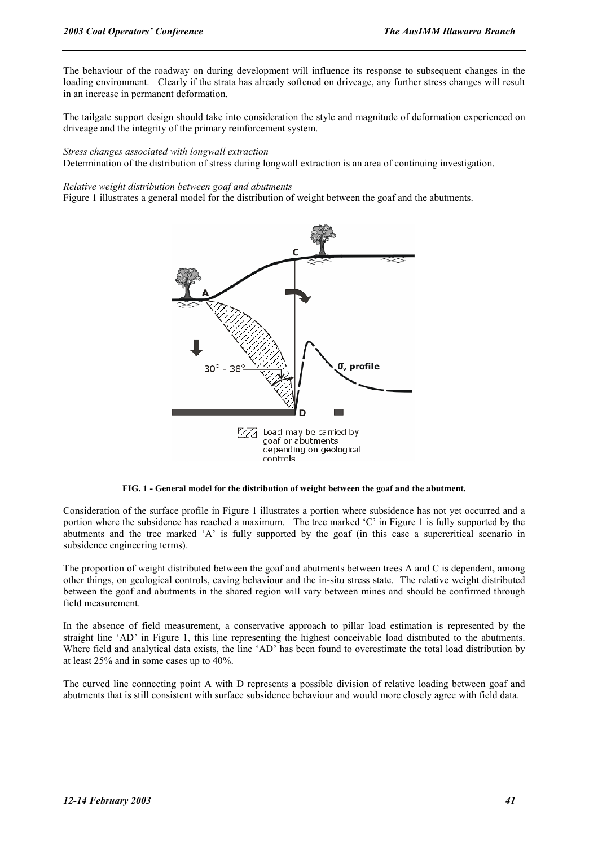The behaviour of the roadway on during development will influence its response to subsequent changes in the loading environment. Clearly if the strata has already softened on driveage, any further stress changes will result in an increase in permanent deformation.

The tailgate support design should take into consideration the style and magnitude of deformation experienced on driveage and the integrity of the primary reinforcement system.

#### *Stress changes associated with longwall extraction*

Determination of the distribution of stress during longwall extraction is an area of continuing investigation.

#### *Relative weight distribution between goaf and abutments*

Figure 1 illustrates a general model for the distribution of weight between the goaf and the abutments.



#### **FIG. 1 - General model for the distribution of weight between the goaf and the abutment.**

Consideration of the surface profile in Figure 1 illustrates a portion where subsidence has not yet occurred and a portion where the subsidence has reached a maximum. The tree marked 'C' in Figure 1 is fully supported by the abutments and the tree marked 'A' is fully supported by the goaf (in this case a supercritical scenario in subsidence engineering terms).

The proportion of weight distributed between the goaf and abutments between trees A and C is dependent, among other things, on geological controls, caving behaviour and the in-situ stress state. The relative weight distributed between the goaf and abutments in the shared region will vary between mines and should be confirmed through field measurement.

In the absence of field measurement, a conservative approach to pillar load estimation is represented by the straight line 'AD' in Figure 1, this line representing the highest conceivable load distributed to the abutments. Where field and analytical data exists, the line 'AD' has been found to overestimate the total load distribution by at least 25% and in some cases up to 40%.

The curved line connecting point A with D represents a possible division of relative loading between goaf and abutments that is still consistent with surface subsidence behaviour and would more closely agree with field data.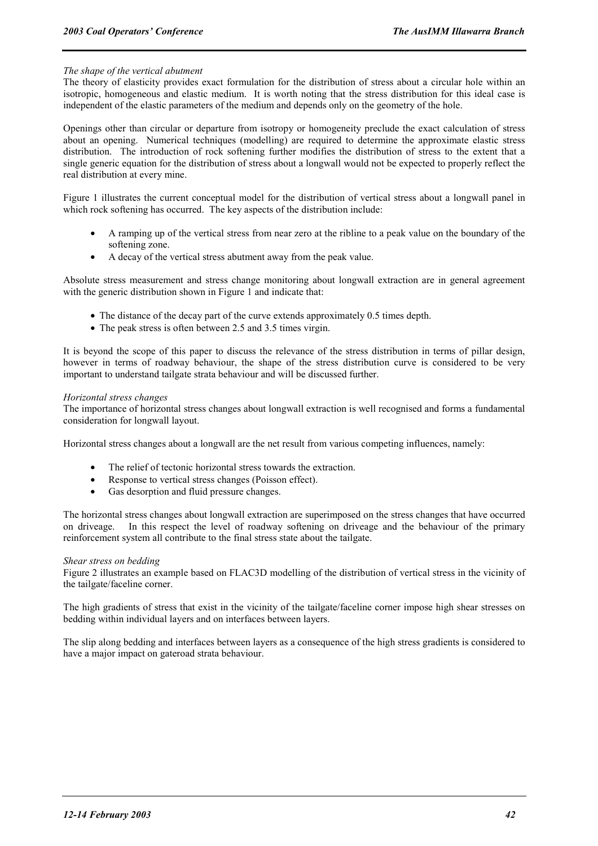#### *The shape of the vertical abutment*

The theory of elasticity provides exact formulation for the distribution of stress about a circular hole within an isotropic, homogeneous and elastic medium. It is worth noting that the stress distribution for this ideal case is independent of the elastic parameters of the medium and depends only on the geometry of the hole.

Openings other than circular or departure from isotropy or homogeneity preclude the exact calculation of stress about an opening. Numerical techniques (modelling) are required to determine the approximate elastic stress distribution. The introduction of rock softening further modifies the distribution of stress to the extent that a single generic equation for the distribution of stress about a longwall would not be expected to properly reflect the real distribution at every mine.

Figure 1 illustrates the current conceptual model for the distribution of vertical stress about a longwall panel in which rock softening has occurred. The key aspects of the distribution include:

- A ramping up of the vertical stress from near zero at the ribline to a peak value on the boundary of the softening zone.
- A decay of the vertical stress abutment away from the peak value.

Absolute stress measurement and stress change monitoring about longwall extraction are in general agreement with the generic distribution shown in Figure 1 and indicate that:

- The distance of the decay part of the curve extends approximately 0.5 times depth.
- The peak stress is often between 2.5 and 3.5 times virgin.

It is beyond the scope of this paper to discuss the relevance of the stress distribution in terms of pillar design, however in terms of roadway behaviour, the shape of the stress distribution curve is considered to be very important to understand tailgate strata behaviour and will be discussed further.

#### *Horizontal stress changes*

The importance of horizontal stress changes about longwall extraction is well recognised and forms a fundamental consideration for longwall layout.

Horizontal stress changes about a longwall are the net result from various competing influences, namely:

- The relief of tectonic horizontal stress towards the extraction.
- Response to vertical stress changes (Poisson effect).
- Gas desorption and fluid pressure changes.

The horizontal stress changes about longwall extraction are superimposed on the stress changes that have occurred on driveage. In this respect the level of roadway softening on driveage and the behaviour of the primary reinforcement system all contribute to the final stress state about the tailgate.

#### *Shear stress on bedding*

Figure 2 illustrates an example based on FLAC3D modelling of the distribution of vertical stress in the vicinity of the tailgate/faceline corner.

The high gradients of stress that exist in the vicinity of the tailgate/faceline corner impose high shear stresses on bedding within individual layers and on interfaces between layers.

The slip along bedding and interfaces between layers as a consequence of the high stress gradients is considered to have a major impact on gateroad strata behaviour.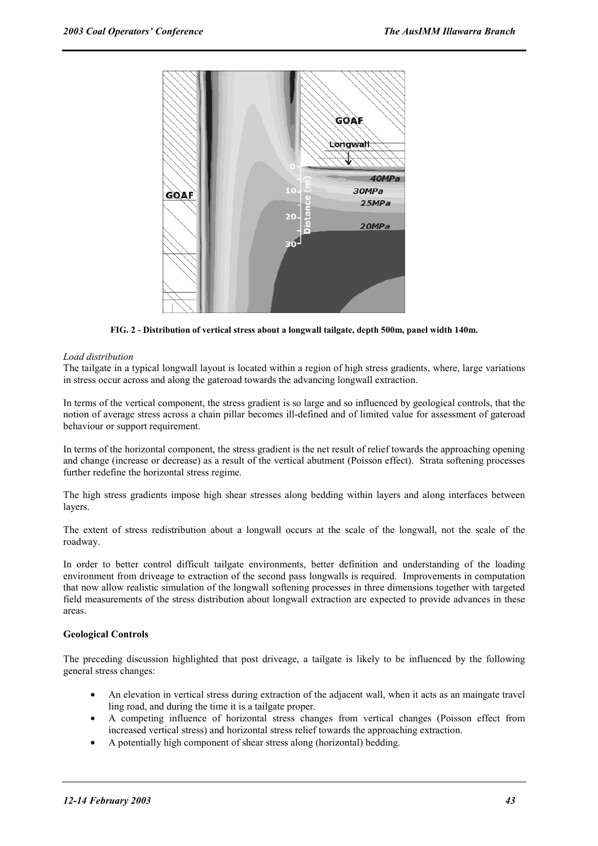

**FIG. 2 - Distribution of vertical stress about a longwall tailgate, depth 500m, panel width 140m.**

#### *Load distribution*

The tailgate in a typical longwall layout is located within a region of high stress gradients, where, large variations in stress occur across and along the gateroad towards the advancing longwall extraction.

In terms of the vertical component, the stress gradient is so large and so influenced by geological controls, that the notion of average stress across a chain pillar becomes ill-defined and of limited value for assessment of gateroad behaviour or support requirement.

In terms of the horizontal component, the stress gradient is the net result of relief towards the approaching opening and change (increase or decrease) as a result of the vertical abutment (Poisson effect). Strata softening processes further redefine the horizontal stress regime.

The high stress gradients impose high shear stresses along bedding within layers and along interfaces between layers.

The extent of stress redistribution about a longwall occurs at the scale of the longwall, not the scale of the roadway.

In order to better control difficult tailgate environments, better definition and understanding of the loading environment from driveage to extraction of the second pass longwalls is required. Improvements in computation that now allow realistic simulation of the longwall softening processes in three dimensions together with targeted field measurements of the stress distribution about longwall extraction are expected to provide advances in these areas.

#### **Geological Controls**

The preceding discussion highlighted that post driveage, a tailgate is likely to be influenced by the following general stress changes:

- An elevation in vertical stress during extraction of the adjacent wall, when it acts as an maingate travel ling road, and during the time it is a tailgate proper.
- A competing influence of horizontal stress changes from vertical changes (Poisson effect from increased vertical stress) and horizontal stress relief towards the approaching extraction.
- A potentially high component of shear stress along (horizontal) bedding.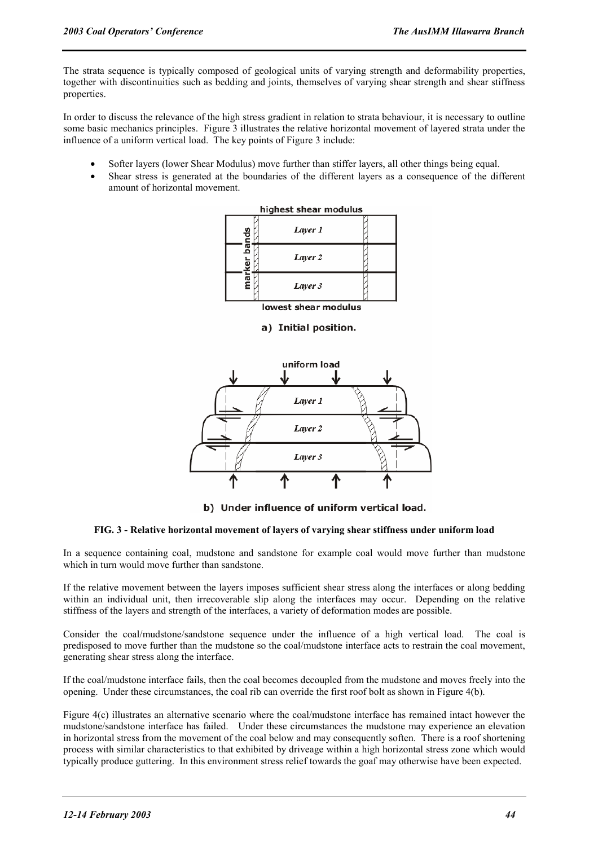The strata sequence is typically composed of geological units of varying strength and deformability properties, together with discontinuities such as bedding and joints, themselves of varying shear strength and shear stiffness properties.

In order to discuss the relevance of the high stress gradient in relation to strata behaviour, it is necessary to outline some basic mechanics principles. Figure 3 illustrates the relative horizontal movement of layered strata under the influence of a uniform vertical load. The key points of Figure 3 include:

- Softer layers (lower Shear Modulus) move further than stiffer layers, all other things being equal.
- Shear stress is generated at the boundaries of the different layers as a consequence of the different amount of horizontal movement.



lowest shear modulus

# a) Initial position.



b) Under influence of uniform vertical load.

#### **FIG. 3 - Relative horizontal movement of layers of varying shear stiffness under uniform load**

In a sequence containing coal, mudstone and sandstone for example coal would move further than mudstone which in turn would move further than sandstone.

If the relative movement between the layers imposes sufficient shear stress along the interfaces or along bedding within an individual unit, then irrecoverable slip along the interfaces may occur. Depending on the relative stiffness of the layers and strength of the interfaces, a variety of deformation modes are possible.

Consider the coal/mudstone/sandstone sequence under the influence of a high vertical load. The coal is predisposed to move further than the mudstone so the coal/mudstone interface acts to restrain the coal movement, generating shear stress along the interface.

If the coal/mudstone interface fails, then the coal becomes decoupled from the mudstone and moves freely into the opening. Under these circumstances, the coal rib can override the first roof bolt as shown in Figure 4(b).

Figure 4(c) illustrates an alternative scenario where the coal/mudstone interface has remained intact however the mudstone/sandstone interface has failed. Under these circumstances the mudstone may experience an elevation in horizontal stress from the movement of the coal below and may consequently soften. There is a roof shortening process with similar characteristics to that exhibited by driveage within a high horizontal stress zone which would typically produce guttering. In this environment stress relief towards the goaf may otherwise have been expected.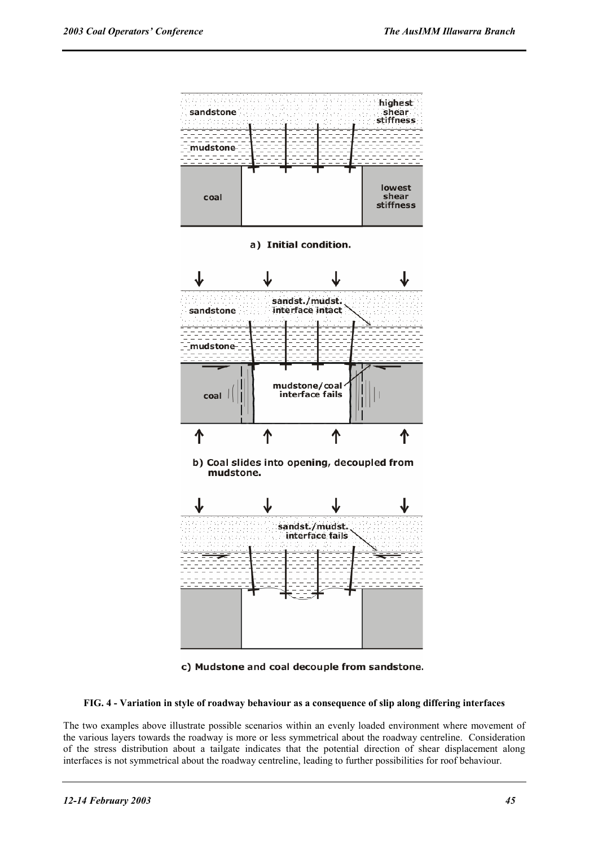

c) Mudstone and coal decouple from sandstone.

**FIG. 4 - Variation in style of roadway behaviour as a consequence of slip along differing interfaces** 

The two examples above illustrate possible scenarios within an evenly loaded environment where movement of the various layers towards the roadway is more or less symmetrical about the roadway centreline. Consideration of the stress distribution about a tailgate indicates that the potential direction of shear displacement along interfaces is not symmetrical about the roadway centreline, leading to further possibilities for roof behaviour.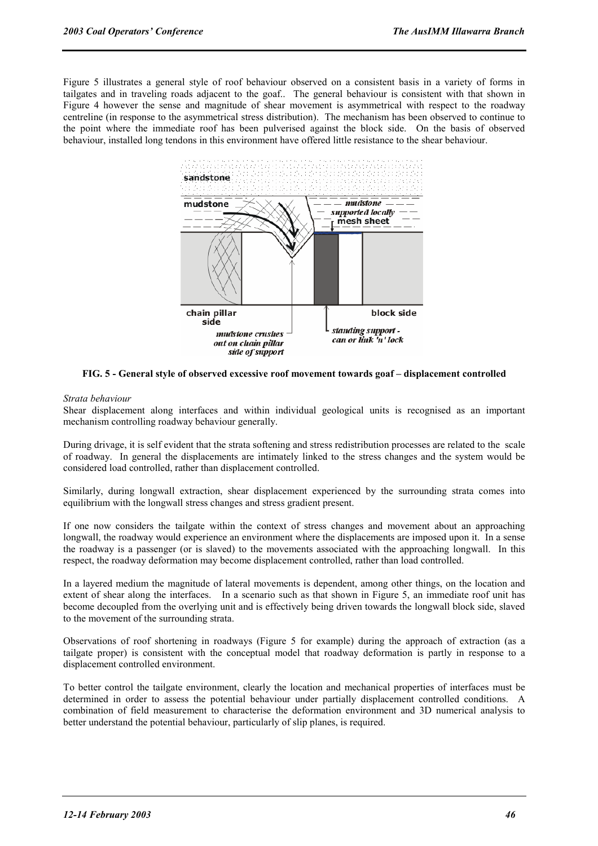Figure 5 illustrates a general style of roof behaviour observed on a consistent basis in a variety of forms in tailgates and in traveling roads adjacent to the goaf.. The general behaviour is consistent with that shown in Figure 4 however the sense and magnitude of shear movement is asymmetrical with respect to the roadway centreline (in response to the asymmetrical stress distribution). The mechanism has been observed to continue to the point where the immediate roof has been pulverised against the block side. On the basis of observed behaviour, installed long tendons in this environment have offered little resistance to the shear behaviour.



**FIG. 5 - General style of observed excessive roof movement towards goaf – displacement controlled** 

#### *Strata behaviour*

Shear displacement along interfaces and within individual geological units is recognised as an important mechanism controlling roadway behaviour generally.

During drivage, it is self evident that the strata softening and stress redistribution processes are related to the scale of roadway. In general the displacements are intimately linked to the stress changes and the system would be considered load controlled, rather than displacement controlled.

Similarly, during longwall extraction, shear displacement experienced by the surrounding strata comes into equilibrium with the longwall stress changes and stress gradient present.

If one now considers the tailgate within the context of stress changes and movement about an approaching longwall, the roadway would experience an environment where the displacements are imposed upon it. In a sense the roadway is a passenger (or is slaved) to the movements associated with the approaching longwall. In this respect, the roadway deformation may become displacement controlled, rather than load controlled.

In a layered medium the magnitude of lateral movements is dependent, among other things, on the location and extent of shear along the interfaces. In a scenario such as that shown in Figure 5, an immediate roof unit has become decoupled from the overlying unit and is effectively being driven towards the longwall block side, slaved to the movement of the surrounding strata.

Observations of roof shortening in roadways (Figure 5 for example) during the approach of extraction (as a tailgate proper) is consistent with the conceptual model that roadway deformation is partly in response to a displacement controlled environment.

To better control the tailgate environment, clearly the location and mechanical properties of interfaces must be determined in order to assess the potential behaviour under partially displacement controlled conditions. A combination of field measurement to characterise the deformation environment and 3D numerical analysis to better understand the potential behaviour, particularly of slip planes, is required.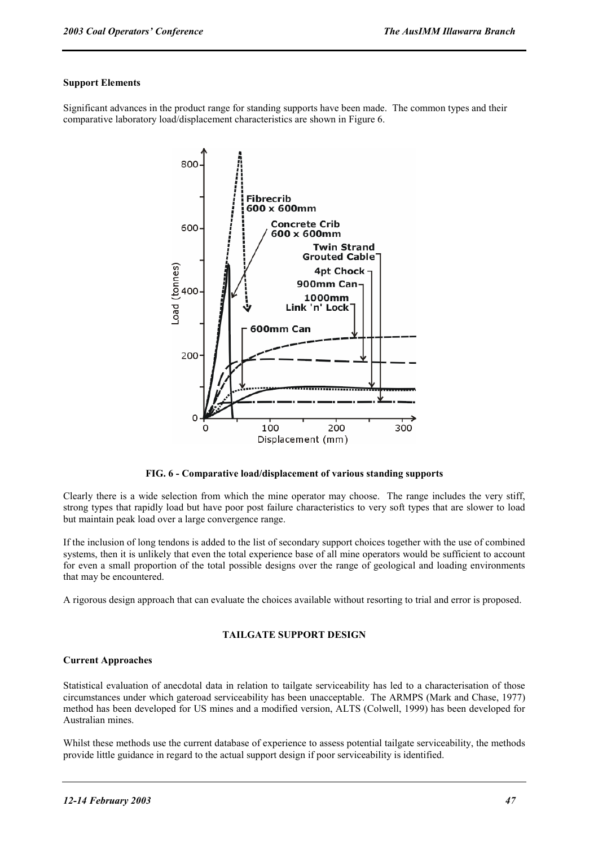## **Support Elements**

Significant advances in the product range for standing supports have been made. The common types and their comparative laboratory load/displacement characteristics are shown in Figure 6.



**FIG. 6 - Comparative load/displacement of various standing supports** 

Clearly there is a wide selection from which the mine operator may choose. The range includes the very stiff, strong types that rapidly load but have poor post failure characteristics to very soft types that are slower to load but maintain peak load over a large convergence range.

If the inclusion of long tendons is added to the list of secondary support choices together with the use of combined systems, then it is unlikely that even the total experience base of all mine operators would be sufficient to account for even a small proportion of the total possible designs over the range of geological and loading environments that may be encountered.

A rigorous design approach that can evaluate the choices available without resorting to trial and error is proposed.

# **TAILGATE SUPPORT DESIGN**

#### **Current Approaches**

Statistical evaluation of anecdotal data in relation to tailgate serviceability has led to a characterisation of those circumstances under which gateroad serviceability has been unacceptable. The ARMPS (Mark and Chase, 1977) method has been developed for US mines and a modified version, ALTS (Colwell, 1999) has been developed for Australian mines.

Whilst these methods use the current database of experience to assess potential tailgate serviceability, the methods provide little guidance in regard to the actual support design if poor serviceability is identified.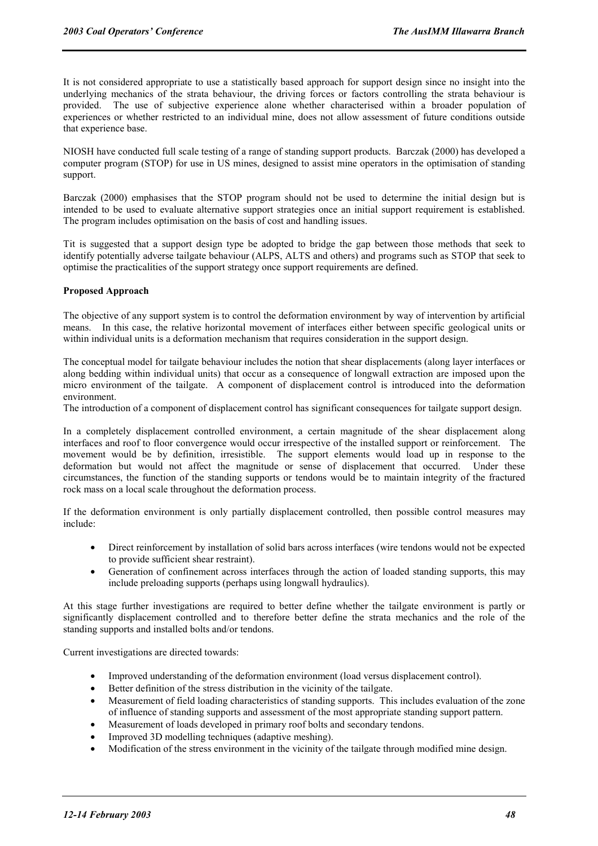It is not considered appropriate to use a statistically based approach for support design since no insight into the underlying mechanics of the strata behaviour, the driving forces or factors controlling the strata behaviour is provided. The use of subjective experience alone whether characterised within a broader population of experiences or whether restricted to an individual mine, does not allow assessment of future conditions outside that experience base.

NIOSH have conducted full scale testing of a range of standing support products. Barczak (2000) has developed a computer program (STOP) for use in US mines, designed to assist mine operators in the optimisation of standing support.

Barczak (2000) emphasises that the STOP program should not be used to determine the initial design but is intended to be used to evaluate alternative support strategies once an initial support requirement is established. The program includes optimisation on the basis of cost and handling issues.

Tit is suggested that a support design type be adopted to bridge the gap between those methods that seek to identify potentially adverse tailgate behaviour (ALPS, ALTS and others) and programs such as STOP that seek to optimise the practicalities of the support strategy once support requirements are defined.

# **Proposed Approach**

The objective of any support system is to control the deformation environment by way of intervention by artificial means. In this case, the relative horizontal movement of interfaces either between specific geological units or within individual units is a deformation mechanism that requires consideration in the support design.

The conceptual model for tailgate behaviour includes the notion that shear displacements (along layer interfaces or along bedding within individual units) that occur as a consequence of longwall extraction are imposed upon the micro environment of the tailgate. A component of displacement control is introduced into the deformation environment.

The introduction of a component of displacement control has significant consequences for tailgate support design.

In a completely displacement controlled environment, a certain magnitude of the shear displacement along interfaces and roof to floor convergence would occur irrespective of the installed support or reinforcement. The movement would be by definition, irresistible. The support elements would load up in response to the deformation but would not affect the magnitude or sense of displacement that occurred. Under these circumstances, the function of the standing supports or tendons would be to maintain integrity of the fractured rock mass on a local scale throughout the deformation process.

If the deformation environment is only partially displacement controlled, then possible control measures may include:

- Direct reinforcement by installation of solid bars across interfaces (wire tendons would not be expected to provide sufficient shear restraint).
- Generation of confinement across interfaces through the action of loaded standing supports, this may include preloading supports (perhaps using longwall hydraulics).

At this stage further investigations are required to better define whether the tailgate environment is partly or significantly displacement controlled and to therefore better define the strata mechanics and the role of the standing supports and installed bolts and/or tendons.

Current investigations are directed towards:

- Improved understanding of the deformation environment (load versus displacement control).
- Better definition of the stress distribution in the vicinity of the tailgate.
- Measurement of field loading characteristics of standing supports. This includes evaluation of the zone of influence of standing supports and assessment of the most appropriate standing support pattern.
- Measurement of loads developed in primary roof bolts and secondary tendons.
- Improved 3D modelling techniques (adaptive meshing).
- Modification of the stress environment in the vicinity of the tailgate through modified mine design.